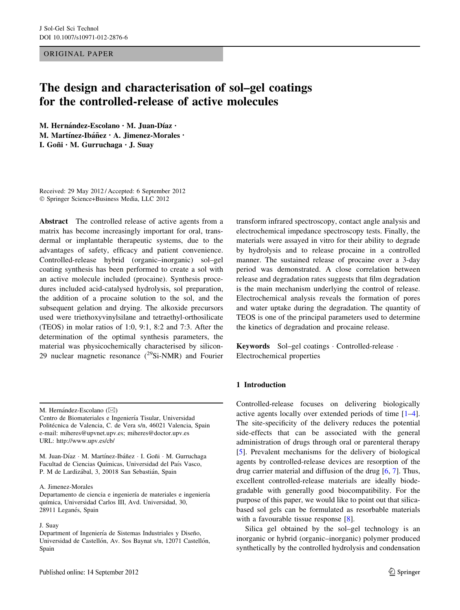ORIGINAL PAPER

# The design and characterisation of sol–gel coatings for the controlled-release of active molecules

M. Hernández-Escolano · M. Juan-Díaz · M. Martínez-Ibáñez · A. Jimenez-Morales · I. Goñi • M. Gurruchaga • J. Suav

Received: 29 May 2012 / Accepted: 6 September 2012 - Springer Science+Business Media, LLC 2012

Abstract The controlled release of active agents from a matrix has become increasingly important for oral, transdermal or implantable therapeutic systems, due to the advantages of safety, efficacy and patient convenience. Controlled-release hybrid (organic–inorganic) sol–gel coating synthesis has been performed to create a sol with an active molecule included (procaine). Synthesis procedures included acid-catalysed hydrolysis, sol preparation, the addition of a procaine solution to the sol, and the subsequent gelation and drying. The alkoxide precursors used were triethoxyvinylsilane and tetraethyl-orthosilicate (TEOS) in molar ratios of 1:0, 9:1, 8:2 and 7:3. After the determination of the optimal synthesis parameters, the material was physicochemically characterised by silicon-29 nuclear magnetic resonance  $(^{29}Si-NMR)$  and Fourier

#### A. Jimenez-Morales

Departamento de ciencia e ingeniería de materiales e ingeniería quı´mica, Universidad Carlos III, Avd. Universidad, 30, 28911 Leganés, Spain

#### J. Suay

transform infrared spectroscopy, contact angle analysis and electrochemical impedance spectroscopy tests. Finally, the materials were assayed in vitro for their ability to degrade by hydrolysis and to release procaine in a controlled manner. The sustained release of procaine over a 3-day period was demonstrated. A close correlation between release and degradation rates suggests that film degradation is the main mechanism underlying the control of release. Electrochemical analysis reveals the formation of pores and water uptake during the degradation. The quantity of TEOS is one of the principal parameters used to determine the kinetics of degradation and procaine release.

Keywords Sol–gel coatings - Controlled-release - Electrochemical properties

## 1 Introduction

Controlled-release focuses on delivering biologically active agents locally over extended periods of time [\[1–4](#page-8-0)]. The site-specificity of the delivery reduces the potential side-effects that can be associated with the general administration of drugs through oral or parenteral therapy [\[5](#page-8-0)]. Prevalent mechanisms for the delivery of biological agents by controlled-release devices are resorption of the drug carrier material and diffusion of the drug [\[6](#page-8-0), [7](#page-8-0)]. Thus, excellent controlled-release materials are ideally biodegradable with generally good biocompatibility. For the purpose of this paper, we would like to point out that silicabased sol gels can be formulated as resorbable materials with a favourable tissue response [[8\]](#page-8-0).

Silica gel obtained by the sol–gel technology is an inorganic or hybrid (organic–inorganic) polymer produced synthetically by the controlled hydrolysis and condensation

M. Hernández-Escolano ( $\boxtimes$ )

Centro de Biomateriales e Ingeniería Tisular, Universidad Politécnica de Valencia, C. de Vera s/n, 46021 Valencia, Spain e-mail: miheres@upvnet.upv.es; miheres@doctor.upv.es URL: http://www.upv.es/cb/

M. Juan-Díaz · M. Martínez-Ibáñez · I. Goñi · M. Gurruchaga Facultad de Ciencias Químicas, Universidad del País Vasco, P. M de Lardizábal, 3, 20018 San Sebastián, Spain

Department of Ingeniería de Sistemas Industriales y Diseño, Universidad de Castellón, Av. Sos Baynat s/n, 12071 Castellón, Spain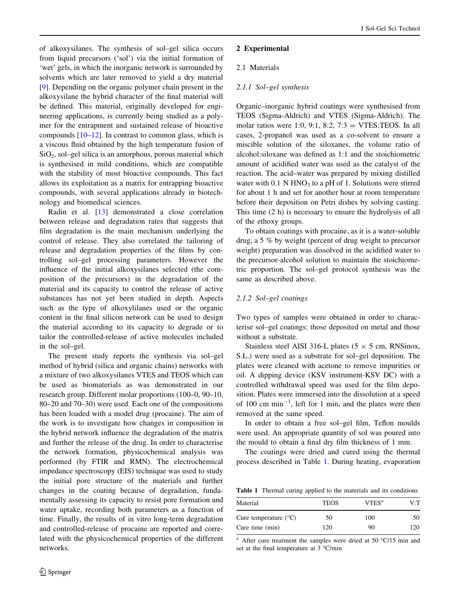<span id="page-1-0"></span>of alkoxysilanes. The synthesis of sol–gel silica occurs from liquid precursors ('sol') via the initial formation of 'wet' gels, in which the inorganic network is surrounded by solvents which are later removed to yield a dry material [\[9](#page-8-0)]. Depending on the organic polymer chain present in the alkoxysilane the hybrid character of the final material will be defined. This material, originally developed for engineering applications, is currently being studied as a polymer for the entrapment and sustained release of bioactive compounds  $[10-12]$ . In contrast to common glass, which is a viscous fluid obtained by the high temperature fusion of  $SiO<sub>2</sub>$ , sol–gel silica is an amorphous, porous material which is synthesised in mild conditions, which are compatible with the stability of most bioactive compounds. This fact allows its exploitation as a matrix for entrapping bioactive compounds, with several applications already in biotechnology and biomedical sciences.

Radin et al. [[13\]](#page-8-0) demonstrated a close correlation between release and degradation rates that suggests that film degradation is the main mechanism underlying the control of release. They also correlated the tailoring of release and degradation properties of the films by controlling sol–gel processing parameters. However the influence of the initial alkoxysilanes selected (the composition of the precursors) in the degradation of the material and its capacity to control the release of active substances has not yet been studied in depth. Aspects such as the type of alkoxylilanes used or the organic content in the final silicon network can be used to design the material according to its capacity to degrade or to tailor the controlled-release of active molecules included in the sol–gel.

The present study reports the synthesis via sol–gel method of hybrid (silica and organic chains) networks with a mixture of two alkoxysilanes VTES and TEOS which can be used as biomaterials as was demonstrated in our research group. Different molar proportions (100–0, 90–10, 80–20 and 70–30) were used. Each one of the compositions has been loaded with a model drug (procaine). The aim of the work is to investigate how changes in composition in the hybrid network influence the degradation of the matrix and further the release of the drug. In order to characterise the network formation, physicochemical analysis was performed (by FTIR and RMN). The electrochemical impedance spectroscopy (EIS) technique was used to study the initial pore structure of the materials and further changes in the coating because of degradation, fundamentally assessing its capacity to resist pore formation and water uptake, recording both parameters as a function of time. Finally, the results of in vitro long-term degradation and controlled-release of procaine are reported and correlated with the physicochemical properties of the different networks.

## 2 Experimental

## 2.1 Materials

## 2.1.1 Sol–gel synthesis

Organic–inorganic hybrid coatings were synthesised from TEOS (Sigma-Aldrich) and VTES (Sigma-Aldrich). The molar ratios were 1:0, 9:1, 8:2,  $7:3 = VTES:TEOS$ . In all cases, 2-propanol was used as a co-solvent to ensure a miscible solution of the siloxanes, the volume ratio of alcohol:siloxane was defined as 1:1 and the stoichiometric amount of acidified water was used as the catalyst of the reaction. The acid–water was prepared by mixing distilled water with  $0.1$  N HNO<sub>3</sub> to a pH of 1. Solutions were stirred for about 1 h and set for another hour at room temperature before their deposition on Petri dishes by solving casting. This time (2 h) is necessary to ensure the hydrolysis of all of the ethoxy groups.

To obtain coatings with procaine, as it is a water-soluble drug, a 5 % by weight (percent of drug weight to precursor weight) preparation was dissolved in the acidified water to the precursor-alcohol solution to maintain the stoichiometric proportion. The sol–gel protocol synthesis was the same as described above.

## 2.1.2 Sol–gel coatings

Two types of samples were obtained in order to characterise sol–gel coatings: those deposited on metal and those without a substrate.

Stainless steel AISI 316-L plates ( $5 \times 5$  cm, RNSinox, S.L.) were used as a substrate for sol–gel deposition. The plates were cleaned with acetone to remove impurities or oil. A dipping device (KSV instrument-KSV DC) with a controlled withdrawal speed was used for the film deposition. Plates were immersed into the dissolution at a speed of 100 cm  $min^{-1}$ , left for 1 min, and the plates were then removed at the same speed.

In order to obtain a free sol–gel film, Teflon moulds were used. An appropriate quantity of sol was poured into the mould to obtain a final dry film thickness of 1 mm.

The coatings were dried and cured using the thermal process described in Table 1. During heating, evaporation

Table 1 Thermal curing applied to the materials and its conditions

| Material                       | <b>TEOS</b> | VTES <sup>a</sup> | V∙T |
|--------------------------------|-------------|-------------------|-----|
| Cure temperature $(^{\circ}C)$ | 50          | 100               | 50  |
| Cure time (min)                | 120         | 90                | 120 |

After cure treatment the samples were dried at 50  $\degree$ C/15 min and set at the final temperature at  $3^{\circ}$ C/min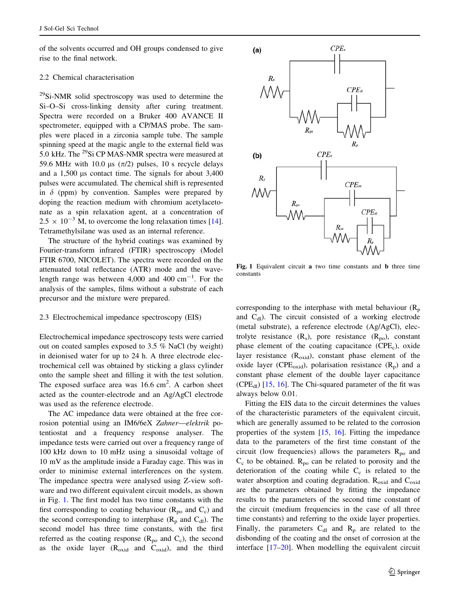<span id="page-2-0"></span>of the solvents occurred and OH groups condensed to give rise to the final network.

#### 2.2 Chemical characterisation

 $^{29}$ Si-NMR solid spectroscopy was used to determine the Si–O–Si cross-linking density after curing treatment. Spectra were recorded on a Bruker 400 AVANCE II spectrometer, equipped with a CP/MAS probe. The samples were placed in a zirconia sample tube. The sample spinning speed at the magic angle to the external field was 5.0 kHz. The 29Si CP MAS-NMR spectra were measured at 59.6 MHz with 10.0 µs  $(\pi/2)$  pulses, 10 s recycle delays and a  $1,500$  µs contact time. The signals for about  $3,400$ pulses were accumulated. The chemical shift is represented in  $\delta$  (ppm) by convention. Samples were prepared by doping the reaction medium with chromium acetylacetonate as a spin relaxation agent, at a concentration of  $2.5 \times 10^{-3}$  M, to overcome the long relaxation times [\[14](#page-8-0)]. Tetramethylsilane was used as an internal reference.

The structure of the hybrid coatings was examined by Fourier-transform infrared (FTIR) spectroscopy (Model FTIR 6700, NICOLET). The spectra were recorded on the attenuated total reflectance (ATR) mode and the wavelength range was between  $4,000$  and  $400 \text{ cm}^{-1}$ . For the analysis of the samples, films without a substrate of each precursor and the mixture were prepared.

#### 2.3 Electrochemical impedance spectroscopy (EIS)

Electrochemical impedance spectroscopy tests were carried out on coated samples exposed to 3.5 % NaCl (by weight) in deionised water for up to 24 h. A three electrode electrochemical cell was obtained by sticking a glass cylinder onto the sample sheet and filling it with the test solution. The exposed surface area was  $16.6 \text{ cm}^2$ . A carbon sheet acted as the counter-electrode and an Ag/AgCl electrode was used as the reference electrode.

The AC impedance data were obtained at the free corrosion potential using an IM6/6eX Zahner—elektrik potentiostat and a frequency response analyser. The impedance tests were carried out over a frequency range of 100 kHz down to 10 mHz using a sinusoidal voltage of 10 mV as the amplitude inside a Faraday cage. This was in order to minimise external interferences on the system. The impedance spectra were analysed using Z-view software and two different equivalent circuit models, as shown in Fig. 1. The first model has two time constants with the first corresponding to coating behaviour  $(R_{po}$  and  $C_c$ ) and the second corresponding to interphase  $(R_p \text{ and } C_{dl})$ . The second model has three time constants, with the first referred as the coating response  $(R_{po}$  and  $C_c$ ), the second as the oxide layer  $(R_{\text{oxid}})$  and  $C_{\text{oxid}})$ , and the third



Fig. 1 Equivalent circuit a two time constants and b three time constants

corresponding to the interphase with metal behaviour  $(R_p)$ and  $C_{dI}$ ). The circuit consisted of a working electrode (metal substrate), a reference electrode (Ag/AgCl), electrolyte resistance  $(R_s)$ , pore resistance  $(R_{\text{no}})$ , constant phase element of the coating capacitance  $(CPE<sub>c</sub>)$ , oxide layer resistance  $(R_{\text{oxid}})$ , constant phase element of the oxide layer (CPE<sub>oxid</sub>), polarisation resistance  $(R_p)$  and a constant phase element of the double layer capacitance  $(CPE<sub>dl</sub>)$  [\[15](#page-8-0), [16\]](#page-8-0). The Chi-squared parameter of the fit was always below 0.01.

Fitting the EIS data to the circuit determines the values of the characteristic parameters of the equivalent circuit, which are generally assumed to be related to the corrosion properties of the system [[15,](#page-8-0) [16\]](#page-8-0). Fitting the impedance data to the parameters of the first time constant of the circuit (low frequencies) allows the parameters  $R_{\text{po}}$  and  $C_c$  to be obtained.  $R_{po}$  can be related to porosity and the deterioration of the coating while  $C_c$  is related to the water absorption and coating degradation.  $R_{\text{oxid}}$  and  $C_{\text{oxid}}$ are the parameters obtained by fitting the impedance results to the parameters of the second time constant of the circuit (medium frequencies in the case of all three time constants) and referring to the oxide layer properties. Finally, the parameters  $C_{dl}$  and  $R_p$  are related to the disbonding of the coating and the onset of corrosion at the interface [[17–](#page-8-0)[20\]](#page-9-0). When modelling the equivalent circuit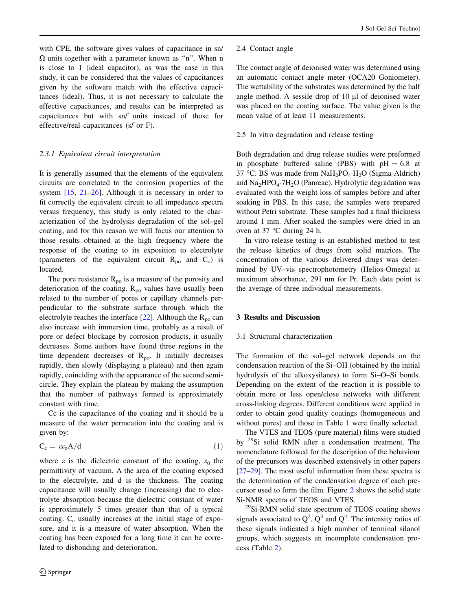<span id="page-3-0"></span>with CPE, the software gives values of capacitance in sn/  $\Omega$  units together with a parameter known as "n". When n is close to 1 (ideal capacitor), as was the case in this study, it can be considered that the values of capacitances given by the software match with the effective capacitances (ideal). Thus, it is not necessary to calculate the effective capacitances, and results can be interpreted as capacitances but with sn/} units instead of those for effective/real capacitances (s/' or F).

# 2.3.1 Equivalent circuit interpretation

It is generally assumed that the elements of the equivalent circuits are correlated to the corrosion properties of the system  $[15, 21-26]$  $[15, 21-26]$ . Although it is necessary in order to fit correctly the equivalent circuit to all impedance spectra versus frequency, this study is only related to the characterization of the hydrolysis degradation of the sol–gel coating, and for this reason we will focus our attention to those results obtained at the high frequency where the response of the coating to its exposition to electrolyte (parameters of the equivalent circuit  $R_{po}$  and  $C_c$ ) is located.

The pore resistance  $R_{po}$  is a measure of the porosity and deterioration of the coating.  $R_{po}$  values have usually been related to the number of pores or capillary channels perpendicular to the substrate surface through which the electrolyte reaches the interface  $[22]$  $[22]$ . Although the R<sub>po</sub> can also increase with immersion time, probably as a result of pore or defect blockage by corrosion products, it usually decreases. Some authors have found three regions in the time dependent decreases of  $R_{po}$ . It initially decreases rapidly, then slowly (displaying a plateau) and then again rapidly, coinciding with the appearance of the second semicircle. They explain the plateau by making the assumption that the number of pathways formed is approximately constant with time.

Cc is the capacitance of the coating and it should be a measure of the water permeation into the coating and is given by:

$$
C_c = \varepsilon \varepsilon_o A/d \tag{1}
$$

where  $\varepsilon$  is the dielectric constant of the coating,  $\varepsilon_0$  the permittivity of vacuum, A the area of the coating exposed to the electrolyte, and d is the thickness. The coating capacitance will usually change (increasing) due to electrolyte absorption because the dielectric constant of water is approximately 5 times greater than that of a typical coating.  $C_c$  usually increases at the initial stage of exposure, and it is a measure of water absorption. When the coating has been exposed for a long time it can be correlated to disbonding and deterioration.

## 2.4 Contact angle

The contact angle of deionised water was determined using an automatic contact angle meter (OCA20 Goniometer). The wettability of the substrates was determined by the half angle method. A sessile drop of  $10 \mu l$  of deionised water was placed on the coating surface. The value given is the mean value of at least 11 measurements.

## 2.5 In vitro degradation and release testing

Both degradation and drug release studies were preformed in phosphate buffered saline (PBS) with  $pH = 6.8$  at 37 °C. BS was made from  $\text{NaH}_2\text{PO}_4 \cdot \text{H}_2\text{O}$  (Sigma-Aldrich) and Na<sub>2</sub>HPO<sub>4</sub>.7H<sub>2</sub>O (Panreac). Hydrolytic degradation was evaluated with the weight loss of samples before and after soaking in PBS. In this case, the samples were prepared without Petri substrate. These samples had a final thickness around 1 mm. After soaked the samples were dried in an oven at 37  $\degree$ C during 24 h.

In vitro release testing is an established method to test the release kinetics of drugs from solid matrices. The concentration of the various delivered drugs was determined by UV–vis spectrophotometry (Helios-Omega) at maximum absorbance, 291 nm for Pr. Each data point is the average of three individual measurements.

# 3 Results and Discussion

## 3.1 Structural characterization

The formation of the sol–gel network depends on the condensation reaction of the Si–OH (obtained by the initial hydrolysis of the alkoxysilanes) to form Si–O–Si bonds. Depending on the extent of the reaction it is possible to obtain more or less open/close networks with different cross-linking degrees. Different conditions were applied in order to obtain good quality coatings (homogeneous and without pores) and those in Table [1](#page-1-0) were finally selected.

The VTES and TEOS (pure material) films were studied by 29Si solid RMN after a condensation treatment. The nomenclature followed for the description of the behaviour of the precursors was described extensively in other papers [\[27–29](#page-9-0)]. The most useful information from these spectra is the determination of the condensation degree of each precursor used to form the film. Figure [2](#page-4-0) shows the solid state Si-NMR spectra of TEOS and VTES.

 $^{29}$ Si-RMN solid state spectrum of TEOS coating shows signals associated to  $Q^2$ ,  $Q^3$  and  $Q^4$ . The intensity ratios of these signals indicated a high number of terminal silanol groups, which suggests an incomplete condensation process (Table [2\)](#page-4-0).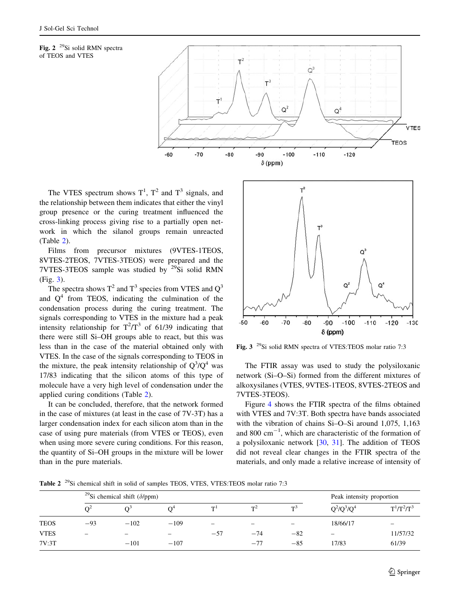<span id="page-4-0"></span>



The VTES spectrum shows  $T^1$ ,  $T^2$  and  $T^3$  signals, and the relationship between them indicates that either the vinyl group presence or the curing treatment influenced the cross-linking process giving rise to a partially open network in which the silanol groups remain unreacted (Table 2).

Films from precursor mixtures (9VTES-1TEOS, 8VTES-2TEOS, 7VTES-3TEOS) were prepared and the 7VTES-3TEOS sample was studied by  $29$ Si solid RMN (Fig. 3).

The spectra shows  $T^2$  and  $T^3$  species from VTES and  $Q^3$ and  $Q<sup>4</sup>$  from TEOS, indicating the culmination of the condensation process during the curing treatment. The signals corresponding to VTES in the mixture had a peak intensity relationship for  $T^2/T^3$  of 61/39 indicating that there were still Si–OH groups able to react, but this was less than in the case of the material obtained only with VTES. In the case of the signals corresponding to TEOS in the mixture, the peak intensity relationship of  $Q^3/Q^4$  was 17/83 indicating that the silicon atoms of this type of molecule have a very high level of condensation under the applied curing conditions (Table 2).

It can be concluded, therefore, that the network formed in the case of mixtures (at least in the case of 7V-3T) has a larger condensation index for each silicon atom than in the case of using pure materials (from VTES or TEOS), even when using more severe curing conditions. For this reason, the quantity of Si–OH groups in the mixture will be lower than in the pure materials.



Fig. 3 29Si solid RMN spectra of VTES:TEOS molar ratio 7:3

The FTIR assay was used to study the polysiloxanic network (Si–O–Si) formed from the different mixtures of alkoxysilanes (VTES, 9VTES-1TEOS, 8VTES-2TEOS and 7VTES-3TEOS).

Figure [4](#page-5-0) shows the FTIR spectra of the films obtained with VTES and 7V:3T. Both spectra have bands associated with the vibration of chains Si–O–Si around 1,075, 1,163 and 800  $\text{cm}^{-1}$ , which are characteristic of the formation of a polysiloxanic network [\[30](#page-9-0), [31\]](#page-9-0). The addition of TEOS did not reveal clear changes in the FTIR spectra of the materials, and only made a relative increase of intensity of

Table 2<sup>29</sup>Si chemical shift in solid of samples TEOS, VTES, VTES: TEOS molar ratio 7:3

|             | <sup>29</sup> Si chemical shift ( $\delta$ /ppm) |        |        |       |       | Peak intensity proportion |               |                          |
|-------------|--------------------------------------------------|--------|--------|-------|-------|---------------------------|---------------|--------------------------|
|             |                                                  |        |        | $T^1$ | $T^2$ | $T^3$                     | $Q^2/Q^3/Q^4$ | $T^1/T^2/T^3$            |
| <b>TEOS</b> | $-93$                                            | $-102$ | $-109$ | -     | -     |                           | 18/66/17      | $\overline{\phantom{0}}$ |
| <b>VTES</b> | -                                                | -      | -      | $-57$ | $-74$ | $-82$                     | -             | 11/57/32                 |
| 7V:3T       |                                                  | $-101$ | $-107$ |       | $-77$ | $-85$                     | 17/83         | 61/39                    |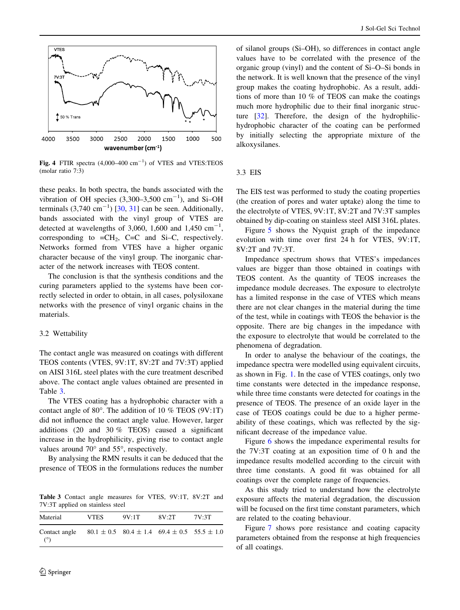<span id="page-5-0"></span>

Fig. 4 FTIR spectra  $(4,000-400 \text{ cm}^{-1})$  of VTES and VTES:TEOS (molar ratio 7:3)

these peaks. In both spectra, the bands associated with the vibration of OH species  $(3,300-3,500 \text{ cm}^{-1})$ , and Si-OH terminals  $(3,740 \text{ cm}^{-1})$  [[30,](#page-9-0) [31](#page-9-0)] can be seen. Additionally, bands associated with the vinyl group of VTES are detected at wavelengths of 3,060, 1,600 and 1,450  $\text{cm}^{-1}$ , corresponding to  $=CH_2$ , C=C and Si–C, respectively. Networks formed from VTES have a higher organic character because of the vinyl group. The inorganic character of the network increases with TEOS content.

The conclusion is that the synthesis conditions and the curing parameters applied to the systems have been correctly selected in order to obtain, in all cases, polysiloxane networks with the presence of vinyl organic chains in the materials.

#### 3.2 Wettability

The contact angle was measured on coatings with different TEOS contents (VTES, 9V:1T, 8V:2T and 7V:3T) applied on AISI 316L steel plates with the cure treatment described above. The contact angle values obtained are presented in Table 3.

The VTES coating has a hydrophobic character with a contact angle of  $80^\circ$ . The addition of 10 % TEOS (9V:1T) did not influence the contact angle value. However, larger additions (20 and 30 % TEOS) caused a significant increase in the hydrophilicity, giving rise to contact angle values around  $70^{\circ}$  and  $55^{\circ}$ , respectively.

By analysing the RMN results it can be deduced that the presence of TEOS in the formulations reduces the number

Table 3 Contact angle measures for VTES, 9V:1T, 8V:2T and 7V:3T applied on stainless steel

| Material                    | <b>VTES</b> | 9V:1T                                                       | 8V:2T | 7V:3T |
|-----------------------------|-------------|-------------------------------------------------------------|-------|-------|
| Contact angle<br>$(^\circ)$ |             | $80.1 \pm 0.5$ $80.4 \pm 1.4$ $69.4 \pm 0.5$ $55.5 \pm 1.0$ |       |       |

of silanol groups (Si–OH), so differences in contact angle values have to be correlated with the presence of the organic group (vinyl) and the content of Si–O–Si bonds in the network. It is well known that the presence of the vinyl group makes the coating hydrophobic. As a result, additions of more than 10 % of TEOS can make the coatings much more hydrophilic due to their final inorganic structure [[32\]](#page-9-0). Therefore, the design of the hydrophilichydrophobic character of the coating can be performed by initially selecting the appropriate mixture of the alkoxysilanes.

## 3.3 EIS

The EIS test was performed to study the coating properties (the creation of pores and water uptake) along the time to the electrolyte of VTES, 9V:1T, 8V:2T and 7V:3T samples obtained by dip-coating on stainless steel AISI 316L plates.

Figure [5](#page-6-0) shows the Nyquist graph of the impedance evolution with time over first 24 h for VTES, 9V:1T, 8V:2T and 7V:3T.

Impedance spectrum shows that VTES's impedances values are bigger than those obtained in coatings with TEOS content. As the quantity of TEOS increases the impedance module decreases. The exposure to electrolyte has a limited response in the case of VTES which means there are not clear changes in the material during the time of the test, while in coatings with TEOS the behavior is the opposite. There are big changes in the impedance with the exposure to electrolyte that would be correlated to the phenomena of degradation.

In order to analyse the behaviour of the coatings, the impedance spectra were modelled using equivalent circuits, as shown in Fig. [1](#page-2-0). In the case of VTES coatings, only two time constants were detected in the impedance response, while three time constants were detected for coatings in the presence of TEOS. The presence of an oxide layer in the case of TEOS coatings could be due to a higher permeability of these coatings, which was reflected by the significant decrease of the impedance value.

Figure [6](#page-6-0) shows the impedance experimental results for the 7V:3T coating at an exposition time of 0 h and the impedance results modelled according to the circuit with three time constants. A good fit was obtained for all coatings over the complete range of frequencies.

As this study tried to understand how the electrolyte exposure affects the material degradation, the discussion will be focused on the first time constant parameters, which are related to the coating behaviour.

Figure [7](#page-7-0) shows pore resistance and coating capacity parameters obtained from the response at high frequencies of all coatings.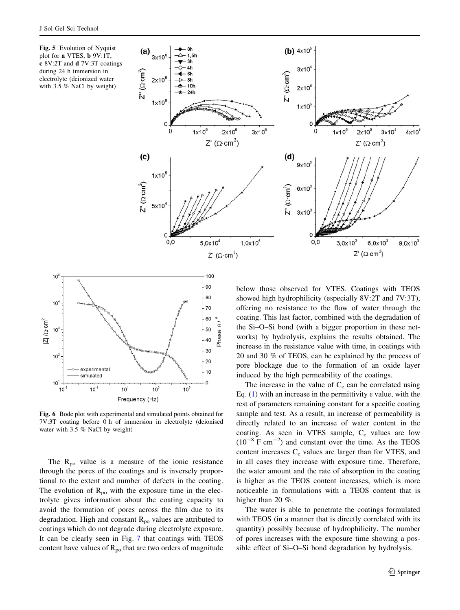<span id="page-6-0"></span>Fig. 5 Evolution of Nyquist plot for a VTES, b 9V:1T, c 8V:2T and d 7V:3T coatings during 24 h immersion in electrolyte (deionized water with 3.5 % NaCl by weight)





Fig. 6 Bode plot with experimental and simulated points obtained for 7V:3T coating before 0 h of immersion in electrolyte (deionised water with 3.5 % NaCl by weight)

The  $R_{po}$  value is a measure of the ionic resistance through the pores of the coatings and is inversely proportional to the extent and number of defects in the coating. The evolution of  $R_{po}$  with the exposure time in the electrolyte gives information about the coating capacity to avoid the formation of pores across the film due to its degradation. High and constant  $R_{po}$  values are attributed to coatings which do not degrade during electrolyte exposure. It can be clearly seen in Fig. [7](#page-7-0) that coatings with TEOS content have values of  $R_{po}$  that are two orders of magnitude

below those observed for VTES. Coatings with TEOS showed high hydrophilicity (especially 8V:2T and 7V:3T), offering no resistance to the flow of water through the coating. This last factor, combined with the degradation of the Si–O–Si bond (with a bigger proportion in these networks) by hydrolysis, explains the results obtained. The increase in the resistance value with time, in coatings with 20 and 30 % of TEOS, can be explained by the process of pore blockage due to the formation of an oxide layer induced by the high permeability of the coatings.

The increase in the value of  $C_c$  can be correlated using Eq. ([1\)](#page-3-0) with an increase in the permittivity  $\varepsilon$  value, with the rest of parameters remaining constant for a specific coating sample and test. As a result, an increase of permeability is directly related to an increase of water content in the coating. As seen in VTES sample,  $C_c$  values are low  $(10^{-8} \text{ F cm}^{-2})$  and constant over the time. As the TEOS content increases  $C_c$  values are larger than for VTES, and in all cases they increase with exposure time. Therefore, the water amount and the rate of absorption in the coating is higher as the TEOS content increases, which is more noticeable in formulations with a TEOS content that is higher than 20 %.

The water is able to penetrate the coatings formulated with TEOS (in a manner that is directly correlated with its quantity) possibly because of hydrophilicity. The number of pores increases with the exposure time showing a possible effect of Si–O–Si bond degradation by hydrolysis.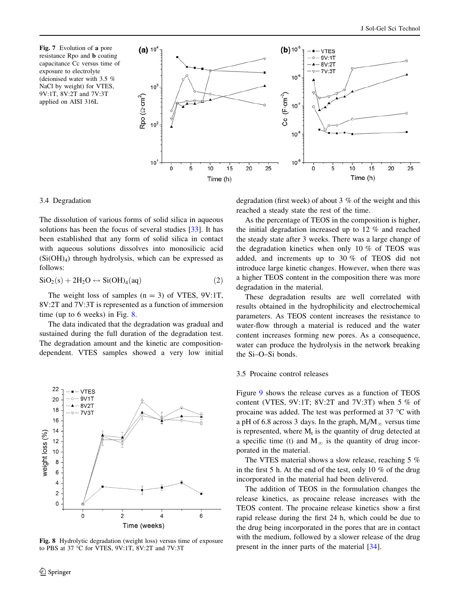<span id="page-7-0"></span>Fig. 7 Evolution of a pore resistance Rpo and b coating capacitance Cc versus time of exposure to electrolyte (deionised water with 3.5 % NaCl by weight) for VTES, 9V:1T, 8V:2T and 7V:3T applied on AISI 316L



## 3.4 Degradation

The dissolution of various forms of solid silica in aqueous solutions has been the focus of several studies [\[33](#page-9-0)]. It has been established that any form of solid silica in contact with aqueous solutions dissolves into monosilicic acid  $(Si(OH)<sub>4</sub>)$  through hydrolysis, which can be expressed as follows:

$$
SiO2(s) + 2H2O \leftrightarrow Si(OH)4(aq)
$$
 (2)

The weight loss of samples  $(n = 3)$  of VTES, 9V:1T, 8V:2T and 7V:3T is represented as a function of immersion time (up to 6 weeks) in Fig. 8.

The data indicated that the degradation was gradual and sustained during the full duration of the degradation test. The degradation amount and the kinetic are compositiondependent. VTES samples showed a very low initial



Fig. 8 Hydrolytic degradation (weight loss) versus time of exposure to PBS at 37  $\degree$ C for VTES, 9V:1T, 8V:2T and 7V:3T

degradation (first week) of about 3 % of the weight and this reached a steady state the rest of the time.

As the percentage of TEOS in the composition is higher, the initial degradation increased up to 12 % and reached the steady state after 3 weeks. There was a large change of the degradation kinetics when only 10 % of TEOS was added, and increments up to 30 % of TEOS did not introduce large kinetic changes. However, when there was a higher TEOS content in the composition there was more degradation in the material.

These degradation results are well correlated with results obtained in the hydrophilicity and electrochemical parameters. As TEOS content increases the resistance to water-flow through a material is reduced and the water content increases forming new pores. As a consequence, water can produce the hydrolysis in the network breaking the Si–O–Si bonds.

## 3.5 Procaine control releases

Figure [9](#page-8-0) shows the release curves as a function of TEOS content (VTES,  $9V:1T$ ;  $8V:2T$  and  $7V:3T$ ) when 5 % of procaine was added. The test was performed at 37  $^{\circ}$ C with a pH of 6.8 across 3 days. In the graph,  $M_t/M_\infty$  versus time is represented, where  $M_t$  is the quantity of drug detected at a specific time (t) and  $M_{\infty}$  is the quantity of drug incorporated in the material.

The VTES material shows a slow release, reaching 5 % in the first 5 h. At the end of the test, only 10 % of the drug incorporated in the material had been delivered.

The addition of TEOS in the formulation changes the release kinetics, as procaine release increases with the TEOS content. The procaine release kinetics show a first rapid release during the first 24 h, which could be due to the drug being incorporated in the pores that are in contact with the medium, followed by a slower release of the drug present in the inner parts of the material [[34\]](#page-9-0).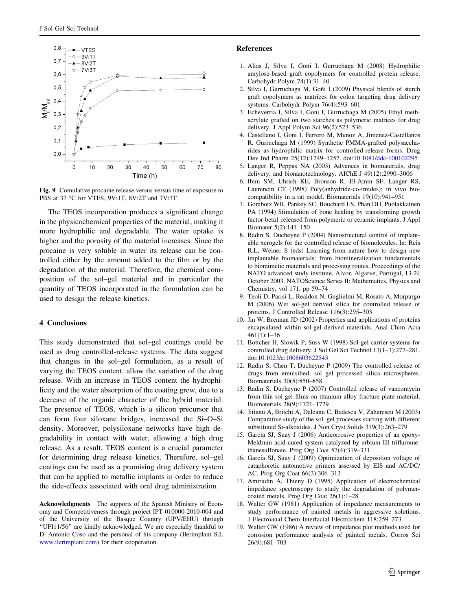<span id="page-8-0"></span>

Fig. 9 Comulative procaine release versus versus time of exposure to PBS at 37 °C for VTES, 9V:1T, 8V:2T and 7V:3T

The TEOS incorporation produces a significant change in the physicochemical properties of the material, making it more hydrophilic and degradable. The water uptake is higher and the porosity of the material increases. Since the procaine is very soluble in water its release can be controlled either by the amount added to the film or by the degradation of the material. Therefore, the chemical composition of the sol–gel material and in particular the quantity of TEOS incorporated in the formulation can be used to design the release kinetics.

#### 4 Conclusions

This study demonstrated that sol–gel coatings could be used as drug controlled-release systems. The data suggest that changes in the sol–gel formulation, as a result of varying the TEOS content, allow the variation of the drug release. With an increase in TEOS content the hydrophilicity and the water absorption of the coating grew, due to a decrease of the organic character of the hybrid material. The presence of TEOS, which is a silicon precursor that can form four siloxane bridges, increased the Si–O–Si density. Moreover, polysiloxane networks have high degradability in contact with water, allowing a high drug release. As a result, TEOS content is a crucial parameter for determining drug release kinetics. Therefore, sol–gel coatings can be used as a promising drug delivery system that can be applied to metallic implants in order to reduce the side-effects associated with oral drug administration.

Acknowledgments The supports of the Spanish Ministry of Economy and Competitiveness through project IPT-010000-2010-004 and of the University of the Basque Country (UPV/EHU) through ''UFI11/56'' are kindly acknowledged. We are especially thankful to D. Antonio Coso and the personal of his company (Ilerimplant S.L [www.ilerimplant.com\)](http://www.ilerimplant.com) for their cooperation.

#### References

- 1. Alias J, Silva I, Goñi I, Gurruchaga M (2008) Hydrophilic amylose-based graft copolymers for controlled protein release. Carbohydr Polym 74(1):31–40
- 2. Silva I, Gurruchaga M, Goñi I (2009) Physical blends of starch graft copolymers as matrices for colon targeting drug delivery systems. Carbohydr Polym 76(4):593–601
- 3. Echeverria I, Silva I, Goni I, Gurruchaga M (2005) Ethyl methacrylate grafted on two starches as polymeric matrices for drug delivery. J Appl Polym Sci 96(2):523–536
- 4. Castellano I, Goni I, Ferrero M, Munoz A, Jimenez-Castellanos R, Gurruchaga M (1999) Synthetic PMMA-grafted polysaccharides as hydrophilic matrix for controlled-release forms. Drug Dev Ind Pharm 25(12):1249–1257. doi:[10.1081/ddc-100102295](http://dx.doi.org/10.1081/ddc-100102295)
- 5. Langer R, Peppas NA (2003) Advances in biomaterials, drug delivery, and bionanotechnology. AIChE J 49(12):2990–3006
- 6. Ibim SM, Uhrich KE, Bronson R, El-Amin SF, Langer RS, Laurencin CT (1998) Poly(anhydride-co-imides): in vivo biocompatibility in a rat model. Biomaterials 19(10):941–951
- 7. Gombotz WR, Pankey SC, Bouchard LS, Phan DH, Puolakkainen PA (1994) Stimulation of bone healing by transforming growth factor-beta1 released from polymeric or ceramic implants. J Appl Biomater 5(2):141–150
- 8. Radin S, Ducheyne P (2004) Nanostructural control of implantable xerogels for the controlled release of biomolecules. In: Reis R.L, Weiner S (eds) Learning from nature how to design new implantable biomaterials: from biomineralization fundamentals to biomimetic materials and processing routes, Proceedings of the NATO advanced study institute, Alvor, Algarve, Portugal, 13-24 October 2003. NATOScience Series II: Mathematics, Physics and Chemistry, vol 171, pp 59–74
- 9. Teoli D, Parisi L, Realdon N, Guglielmi M, Rosato A, Morpurgo M (2006) Wet sol-gel derived silica for controlled release of proteins. J Controlled Release 116(3):295–303
- 10. Jin W, Brennan JD (2002) Properties and applications of proteins encapsulated within sol-gel derived materials. Anal Chim Acta 461(1):1–36
- 11. Bottcher H, Slowik P, Suss W (1998) Sol-gel carrier systems for controlled drug delivery. J Sol Gel Sci Technol 13(1–3):277–281. doi:[10.1023/a:1008603622543](http://dx.doi.org/10.1023/a:1008603622543)
- 12. Radin S, Chen T, Ducheyne P (2009) The controlled release of drugs from emulsified, sol gel processed silica microspheres. Biomaterials 30(5):850–858
- 13. Radin S, Ducheyne P (2007) Controlled release of vancomycin from thin sol-gel films on titanium alloy fracture plate material. Biomaterials 28(9):1721–1729
- 14. Jitianu A, Britchi A, Deleanu C, Badescu V, Zaharescu M (2003) Comparative study of the sol–gel processes starting with different substituted Si-alkoxides. J Non Cryst Solids 319(3):263–279
- 15. García SJ, Suay J (2006) Anticorrosive properties of an epoxy-Meldrum acid cured system catalyzed by erbium III trifluromethanesulfonate. Prog Org Coat 57(4):319–331
- 16. García SJ, Suay J (2009) Optimization of deposition voltage of cataphoretic automotive primers assessed by EIS and AC/DC/ AC. Prog Org Coat 66(3):306–313
- 17. Amirudin A, Thieny D (1995) Application of electrochemical impedance spectroscopy to study the degradation of polymercoated metals. Prog Org Coat 26(1):1–28
- 18. Walter GW (1981) Application of impedance measurements to study performance of painted metals in aggressive solutions. J Electroanal Chem Interfacial Electrochem 118:259–273
- 19. Walter GW (1986) A review of impedance plot methods used for corrosion performance analysis of painted metals. Corros Sci 26(9):681–703